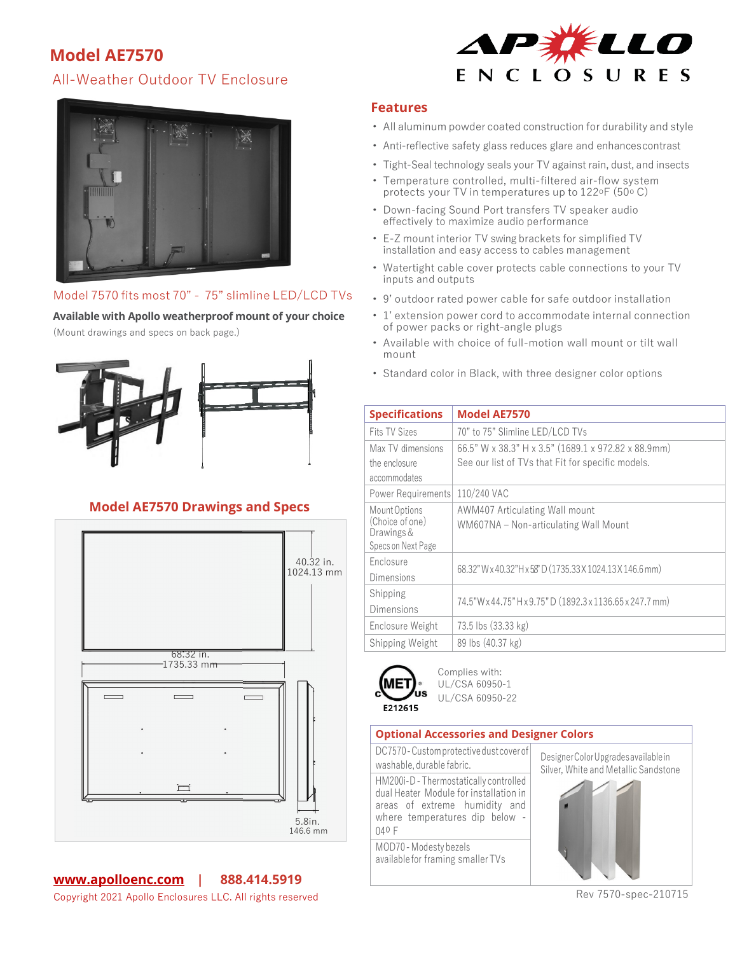# **Model AE7570**

## All-Weather Outdoor TV Enclosure





### Model 7570 fits most 70" - 75" slimline LED/LCD TVs

**Available with Apollo weatherproof mount of your choice**

(Mount drawings and specs on back page.)



## **Model AE7570 Drawings and Specs**



### **Features**

- All aluminum powder coated construction for durability and style
- Anti-reflective safety glass reduces glare and enhancescontrast
- Tight-Seal technology seals your TV against rain, dust, and insects
- Temperature controlled, multi-filtered air-flow system protects your TV in temperatures up to  $122^{\circ}F(50^{\circ}C)$
- Down-facing Sound Port transfers TV speaker audio effectively to maximize audio performance
- E-Z mount interior TV swing brackets for simplified TV installation and easy access to cables management
- Watertight cable cover protects cable connections to your TV inputs and outputs
- 9' outdoor rated power cable for safe outdoor installation
- 1' extension power cord to accommodate internal connection of power packs or right-angle plugs
- Available with choice of full-motion wall mount or tilt wall mount
- Standard color in Black, with three designer color options

| <b>Specifications</b>                                                | <b>Model AE7570</b>                                                     |
|----------------------------------------------------------------------|-------------------------------------------------------------------------|
| <b>Fits TV Sizes</b>                                                 | 70" to 75" Slimline LED/LCD TVs                                         |
| Max TV dimensions                                                    | 66.5" W x 38.3" H x 3.5" (1689.1 x 972.82 x 88.9mm)                     |
| the enclosure                                                        | See our list of TVs that Fit for specific models.                       |
| accommodates                                                         |                                                                         |
| Power Requirements                                                   | 110/240 VAC                                                             |
| Mount Options<br>(Choice of one)<br>Drawings &<br>Specs on Next Page | AWM407 Articulating Wall mount<br>WM607NA - Non-articulating Wall Mount |
| Enclosure<br>Dimensions                                              | 68.32" W x 40.32" H x 58" D (1735.33 X 1024.13 X 146.6 mm)              |
| Shipping<br>Dimensions                                               | 74.5"W x 44.75" H x 9.75" D (1892.3 x 1136.65 x 247.7 mm)               |
| Enclosure Weight                                                     | 73.5 lbs (33.33 kg)                                                     |
| Shipping Weight                                                      | 89 lbs (40.37 kg)                                                       |



Complies with: UL/CSA 60950-1 UL/CSA 60950-22

#### **Optional Accessories and Designer Colors**

DC7570-Customprotectivedustcoverof washable, durable fabric. DesignerColorUpgradesavailablein HM200i-D-Thermostatically controlled dual Heater Module for installation in areas of extreme humidity and where temperatures dip below - 04o F

MOD70-Modesty bezels availablefor framing smallerTVs



Rev 7570-spec-210715